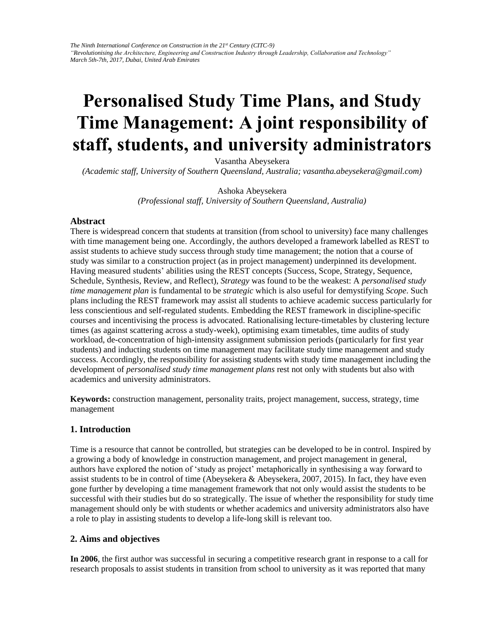# **Personalised Study Time Plans, and Study Time Management: A joint responsibility of staff, students, and university administrators**

Vasantha Abeysekera

*(Academic staff, University of Southern Queensland, Australia; vasantha.abeysekera@gmail.com)* 

Ashoka Abeysekera *(Professional staff, University of Southern Queensland, Australia)* 

#### **Abstract**

There is widespread concern that students at transition (from school to university) face many challenges with time management being one. Accordingly, the authors developed a framework labelled as REST to assist students to achieve study success through study time management; the notion that a course of study was similar to a construction project (as in project management) underpinned its development. Having measured students' abilities using the REST concepts (Success, Scope, Strategy, Sequence, Schedule, Synthesis, Review, and Reflect), *Strategy* was found to be the weakest: A *personalised study time management plan* is fundamental to be *strategic* which is also useful for demystifying *Scope*. Such plans including the REST framework may assist all students to achieve academic success particularly for less conscientious and self-regulated students. Embedding the REST framework in discipline-specific courses and incentivising the process is advocated. Rationalising lecture-timetables by clustering lecture times (as against scattering across a study-week), optimising exam timetables, time audits of study workload, de-concentration of high-intensity assignment submission periods (particularly for first year students) and inducting students on time management may facilitate study time management and study success. Accordingly, the responsibility for assisting students with study time management including the development of *personalised study time management plans* rest not only with students but also with academics and university administrators.

**Keywords:** construction management, personality traits, project management, success, strategy, time management

## **1. Introduction**

Time is a resource that cannot be controlled, but strategies can be developed to be in control. Inspired by a growing a body of knowledge in construction management, and project management in general, authors have explored the notion of 'study as project' metaphorically in synthesising a way forward to assist students to be in control of time (Abeysekera & Abeysekera, 2007, 2015). In fact, they have even gone further by developing a time management framework that not only would assist the students to be successful with their studies but do so strategically. The issue of whether the responsibility for study time management should only be with students or whether academics and university administrators also have a role to play in assisting students to develop a life-long skill is relevant too.

## **2. Aims and objectives**

**In 2006**, the first author was successful in securing a competitive research grant in response to a call for research proposals to assist students in transition from school to university as it was reported that many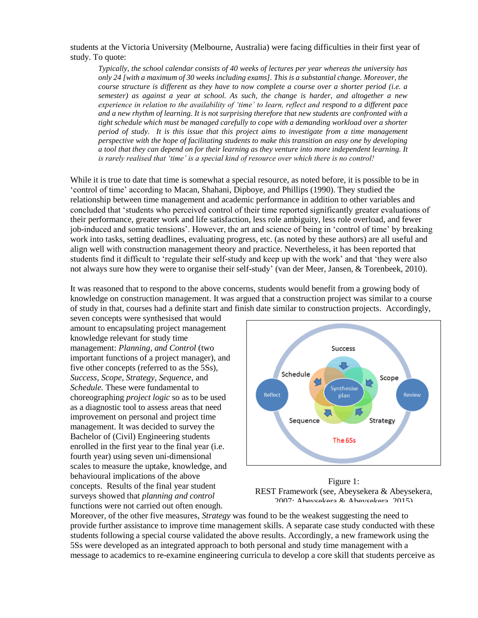students at the Victoria University (Melbourne, Australia) were facing difficulties in their first year of study. To quote:

*Typically, the school calendar consists of 40 weeks of lectures per year whereas the university has only 24 [with a maximum of 30 weeks including exams]. This is a substantial change. Moreover, the course structure is different as they have to now complete a course over a shorter period (i.e. a semester) as against a year at school. As such, the change is harder, and altogether a new experience in relation to the availability of 'time' to learn, reflect and respond to a different pace and a new rhythm of learning. It is not surprising therefore that new students are confronted with a tight schedule which must be managed carefully to cope with a demanding workload over a shorter period of study. It is this issue that this project aims to investigate from a time management perspective with the hope of facilitating students to make this transition an easy one by developing a tool that they can depend on for their learning as they venture into more independent learning. It is rarely realised that 'time' is a special kind of resource over which there is no control!*

While it is true to date that time is somewhat a special resource, as noted before, it is possible to be in 'control of time' according to Macan, Shahani, Dipboye, and Phillips (1990). They studied the relationship between time management and academic performance in addition to other variables and concluded that 'students who perceived control of their time reported significantly greater evaluations of their performance, greater work and life satisfaction, less role ambiguity, less role overload, and fewer job-induced and somatic tensions'. However, the art and science of being in 'control of time' by breaking work into tasks, setting deadlines, evaluating progress, etc. (as noted by these authors) are all useful and align well with construction management theory and practice. Nevertheless, it has been reported that students find it difficult to 'regulate their self-study and keep up with the work' and that 'they were also not always sure how they were to organise their self-study' (van der Meer, Jansen, & Torenbeek, 2010).

It was reasoned that to respond to the above concerns, students would benefit from a growing body of knowledge on construction management. It was argued that a construction project was similar to a course of study in that, courses had a definite start and finish date similar to construction projects. Accordingly,

seven concepts were synthesised that would amount to encapsulating project management knowledge relevant for study time management: *Planning, and Control* (two important functions of a project manager), and five other concepts (referred to as the 5Ss), *Success, Scope, Strategy, Sequence,* and *Schedule.* These were fundamental to choreographing *project logic* so as to be used as a diagnostic tool to assess areas that need improvement on personal and project time management. It was decided to survey the Bachelor of (Civil) Engineering students enrolled in the first year to the final year (i.e. fourth year) using seven uni-dimensional scales to measure the uptake, knowledge, and behavioural implications of the above concepts. Results of the final year student surveys showed that *planning and control* functions were not carried out often enough.



Figure 1: REST Framework (see, Abeysekera & Abeysekera, 2007; Abeysekera & Abeysekera, 2015)

Moreover, of the other five measures, *Strategy* was found to be the weakest suggesting the need to provide further assistance to improve time management skills. A separate case study conducted with these students following a special course validated the above results. Accordingly, a new framework using the 5Ss were developed as an integrated approach to both personal and study time management with a message to academics to re-examine engineering curricula to develop a core skill that students perceive as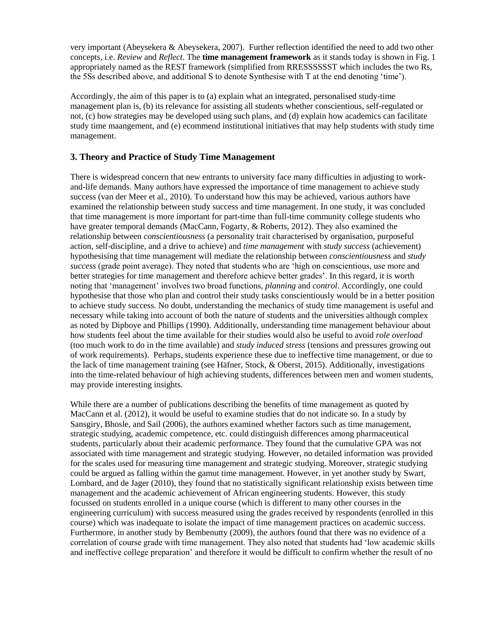very important (Abeysekera & Abeysekera, 2007). Further reflection identified the need to add two other concepts, i.e. *Review* and *Reflect*. The **time management framework** as it stands today is shown in Fig. 1 appropriately named as the REST framework (simplified from RRESSSSSST which includes the two Rs, the 5Ss described above, and additional S to denote Synthesise with T at the end denoting 'time').

Accordingly, the aim of this paper is to (a) explain what an integrated, personalised study-time management plan is, (b) its relevance for assisting all students whether conscientious, self-regulated or not, (c) how strategies may be developed using such plans, and (d) explain how academics can facilitate study time maangement, and (e) ecommend institutional initiatives that may help students with study time management.

## **3. Theory and Practice of Study Time Management**

There is widespread concern that new entrants to university face many difficulties in adjusting to workand-life demands. Many authors have expressed the importance of time management to achieve study success (van der Meer et al., 2010). To understand how this may be achieved, various authors have examined the relationship between study success and time management. In one study, it was concluded that time management is more important for part-time than full-time community college students who have greater temporal demands (MacCann, Fogarty, & Roberts, 2012). They also examined the relationship between *conscientiousness* (a personality trait characterised by organisation, purposeful action, self-discipline, and a drive to achieve) and *time management* with *study success* (achievement) hypothesising that time management will mediate the relationship between *conscientiousness* and *study success* (grade point average). They noted that students who are 'high on conscientious, use more and better strategies for time management and therefore achieve better grades'. In this regard, it is worth noting that 'management' involves two broad functions, *planning* and *control*. Accordingly, one could hypothesise that those who plan and control their study tasks conscientiously would be in a better position to achieve study success. No doubt, understanding the mechanics of study time management is useful and necessary while taking into account of both the nature of students and the universities although complex as noted by Dipboye and Phillips (1990). Additionally, understanding time management behaviour about how students feel about the time available for their studies would also be useful to avoid *role overload* (too much work to do in the time available) and *study induced stress* (tensions and pressures growing out of work requirements). Perhaps, students experience these due to ineffective time management, or due to the lack of time management training (see Häfner, Stock, & Oberst, 2015). Additionally, investigations into the time-related behaviour of high achieving students, differences between men and women students, may provide interesting insights.

While there are a number of publications describing the benefits of time management as quoted by MacCann et al. (2012), it would be useful to examine studies that do not indicate so. In a study by Sansgiry, Bhosle, and Sail (2006), the authors examined whether factors such as time management, strategic studying, academic competence, etc. could distinguish differences among pharmaceutical students, particularly about their academic performance. They found that the cumulative GPA was not associated with time management and strategic studying. However, no detailed information was provided for the scales used for measuring time management and strategic studying. Moreover, strategic studying could be argued as falling within the gamut time management. However, in yet another study by Swart, Lombard, and de Jager (2010), they found that no statistically significant relationship exists between time management and the academic achievement of African engineering students. However, this study focussed on students enrolled in a unique course (which is different to many other courses in the engineering curriculum) with success measured using the grades received by respondents (enrolled in this course) which was inadequate to isolate the impact of time management practices on academic success. Furthermore, in another study by Bembenutty (2009), the authors found that there was no evidence of a correlation of course grade with time management. They also noted that students had 'low academic skills and ineffective college preparation' and therefore it would be difficult to confirm whether the result of no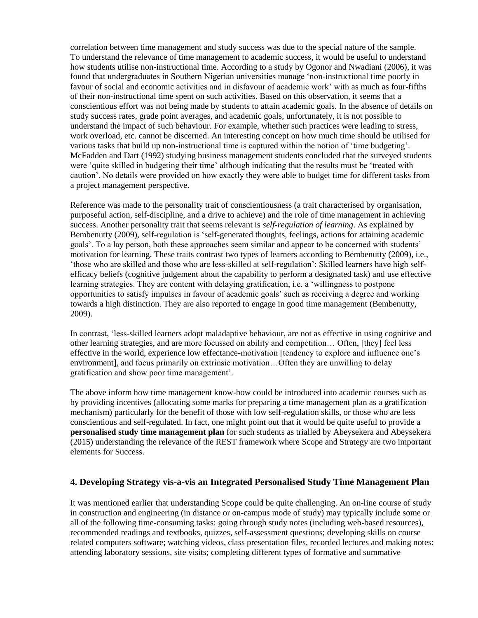correlation between time management and study success was due to the special nature of the sample. To understand the relevance of time management to academic success, it would be useful to understand how students utilise non-instructional time. According to a study by Ogonor and Nwadiani (2006), it was found that undergraduates in Southern Nigerian universities manage 'non-instructional time poorly in favour of social and economic activities and in disfavour of academic work' with as much as four-fifths of their non-instructional time spent on such activities. Based on this observation, it seems that a conscientious effort was not being made by students to attain academic goals. In the absence of details on study success rates, grade point averages, and academic goals, unfortunately, it is not possible to understand the impact of such behaviour. For example, whether such practices were leading to stress, work overload, etc. cannot be discerned. An interesting concept on how much time should be utilised for various tasks that build up non-instructional time is captured within the notion of 'time budgeting'. McFadden and Dart (1992) studying business management students concluded that the surveyed students were 'quite skilled in budgeting their time' although indicating that the results must be 'treated with caution'. No details were provided on how exactly they were able to budget time for different tasks from a project management perspective.

Reference was made to the personality trait of conscientiousness (a trait characterised by organisation, purposeful action, self-discipline, and a drive to achieve) and the role of time management in achieving success. Another personality trait that seems relevant is *self-regulation of learning*. As explained by Bembenutty (2009), self-regulation is 'self-generated thoughts, feelings, actions for attaining academic goals'. To a lay person, both these approaches seem similar and appear to be concerned with students' motivation for learning. These traits contrast two types of learners according to Bembenutty (2009), i.e., 'those who are skilled and those who are less-skilled at self-regulation': Skilled learners have high selfefficacy beliefs (cognitive judgement about the capability to perform a designated task) and use effective learning strategies. They are content with delaying gratification, i.e. a 'willingness to postpone opportunities to satisfy impulses in favour of academic goals' such as receiving a degree and working towards a high distinction. They are also reported to engage in good time management (Bembenutty, 2009).

In contrast, 'less-skilled learners adopt maladaptive behaviour, are not as effective in using cognitive and other learning strategies, and are more focussed on ability and competition… Often, [they] feel less effective in the world, experience low effectance-motivation [tendency to explore and influence one's environment], and focus primarily on extrinsic motivation…Often they are unwilling to delay gratification and show poor time management'.

The above inform how time management know-how could be introduced into academic courses such as by providing incentives (allocating some marks for preparing a time management plan as a gratification mechanism) particularly for the benefit of those with low self-regulation skills, or those who are less conscientious and self-regulated. In fact, one might point out that it would be quite useful to provide a **personalised study time management plan** for such students as trialled by Abeysekera and Abeysekera (2015) understanding the relevance of the REST framework where Scope and Strategy are two important elements for Success.

## **4. Developing Strategy vis-a-vis an Integrated Personalised Study Time Management Plan**

It was mentioned earlier that understanding Scope could be quite challenging. An on-line course of study in construction and engineering (in distance or on-campus mode of study) may typically include some or all of the following time-consuming tasks: going through study notes (including web-based resources), recommended readings and textbooks, quizzes, self-assessment questions; developing skills on course related computers software; watching videos, class presentation files, recorded lectures and making notes; attending laboratory sessions, site visits; completing different types of formative and summative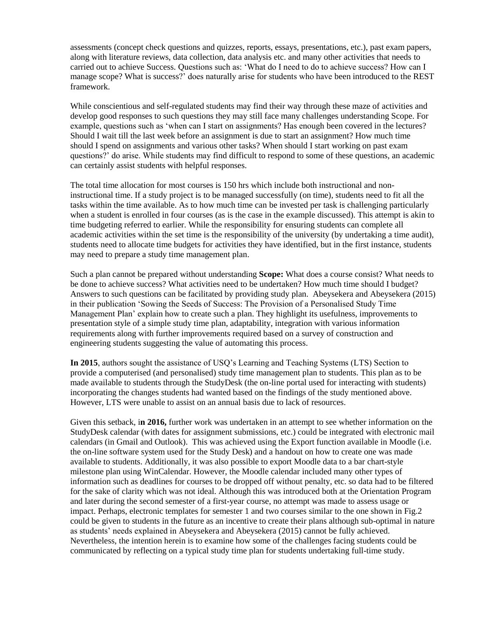assessments (concept check questions and quizzes, reports, essays, presentations, etc.), past exam papers, along with literature reviews, data collection, data analysis etc. and many other activities that needs to carried out to achieve Success. Questions such as: 'What do I need to do to achieve success? How can I manage scope? What is success?' does naturally arise for students who have been introduced to the REST framework.

While conscientious and self-regulated students may find their way through these maze of activities and develop good responses to such questions they may still face many challenges understanding Scope. For example, questions such as 'when can I start on assignments? Has enough been covered in the lectures? Should I wait till the last week before an assignment is due to start an assignment? How much time should I spend on assignments and various other tasks? When should I start working on past exam questions?' do arise. While students may find difficult to respond to some of these questions, an academic can certainly assist students with helpful responses.

The total time allocation for most courses is 150 hrs which include both instructional and noninstructional time. If a study project is to be managed successfully (on time), students need to fit all the tasks within the time available. As to how much time can be invested per task is challenging particularly when a student is enrolled in four courses (as is the case in the example discussed). This attempt is akin to time budgeting referred to earlier. While the responsibility for ensuring students can complete all academic activities within the set time is the responsibility of the university (by undertaking a time audit), students need to allocate time budgets for activities they have identified, but in the first instance, students may need to prepare a study time management plan.

Such a plan cannot be prepared without understanding **Scope:** What does a course consist? What needs to be done to achieve success? What activities need to be undertaken? How much time should I budget? Answers to such questions can be facilitated by providing study plan. Abeysekera and Abeysekera (2015) in their publication 'Sowing the Seeds of Success: The Provision of a Personalised Study Time Management Plan' explain how to create such a plan. They highlight its usefulness, improvements to presentation style of a simple study time plan, adaptability, integration with various information requirements along with further improvements required based on a survey of construction and engineering students suggesting the value of automating this process.

**In 2015**, authors sought the assistance of USQ's Learning and Teaching Systems (LTS) Section to provide a computerised (and personalised) study time management plan to students. This plan as to be made available to students through the StudyDesk (the on-line portal used for interacting with students) incorporating the changes students had wanted based on the findings of the study mentioned above. However, LTS were unable to assist on an annual basis due to lack of resources.

Given this setback, i**n 2016,** further work was undertaken in an attempt to see whether information on the StudyDesk calendar (with dates for assignment submissions, etc.) could be integrated with electronic mail calendars (in Gmail and Outlook). This was achieved using the Export function available in Moodle (i.e. the on-line software system used for the Study Desk) and a handout on how to create one was made available to students. Additionally, it was also possible to export Moodle data to a bar chart-style milestone plan using WinCalendar. However, the Moodle calendar included many other types of information such as deadlines for courses to be dropped off without penalty, etc. so data had to be filtered for the sake of clarity which was not ideal. Although this was introduced both at the Orientation Program and later during the second semester of a first-year course, no attempt was made to assess usage or impact. Perhaps, electronic templates for semester 1 and two courses similar to the one shown in Fig.2 could be given to students in the future as an incentive to create their plans although sub-optimal in nature as students' needs explained in Abeysekera and Abeysekera (2015) cannot be fully achieved. Nevertheless, the intention herein is to examine how some of the challenges facing students could be communicated by reflecting on a typical study time plan for students undertaking full-time study.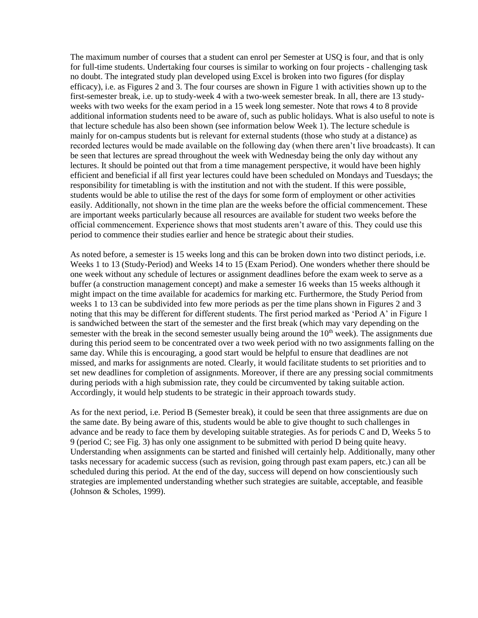The maximum number of courses that a student can enrol per Semester at USQ is four, and that is only for full-time students. Undertaking four courses is similar to working on four projects - challenging task no doubt. The integrated study plan developed using Excel is broken into two figures (for display efficacy), i.e. as Figures 2 and 3. The four courses are shown in Figure 1 with activities shown up to the first-semester break, i.e. up to study-week 4 with a two-week semester break. In all, there are 13 studyweeks with two weeks for the exam period in a 15 week long semester. Note that rows 4 to 8 provide additional information students need to be aware of, such as public holidays. What is also useful to note is that lecture schedule has also been shown (see information below Week 1). The lecture schedule is mainly for on-campus students but is relevant for external students (those who study at a distance) as recorded lectures would be made available on the following day (when there aren't live broadcasts). It can be seen that lectures are spread throughout the week with Wednesday being the only day without any lectures. It should be pointed out that from a time management perspective, it would have been highly efficient and beneficial if all first year lectures could have been scheduled on Mondays and Tuesdays; the responsibility for timetabling is with the institution and not with the student. If this were possible, students would be able to utilise the rest of the days for some form of employment or other activities easily. Additionally, not shown in the time plan are the weeks before the official commencement. These are important weeks particularly because all resources are available for student two weeks before the official commencement. Experience shows that most students aren't aware of this. They could use this period to commence their studies earlier and hence be strategic about their studies.

As noted before, a semester is 15 weeks long and this can be broken down into two distinct periods, i.e. Weeks 1 to 13 (Study-Period) and Weeks 14 to 15 (Exam Period). One wonders whether there should be one week without any schedule of lectures or assignment deadlines before the exam week to serve as a buffer (a construction management concept) and make a semester 16 weeks than 15 weeks although it might impact on the time available for academics for marking etc. Furthermore, the Study Period from weeks 1 to 13 can be subdivided into few more periods as per the time plans shown in Figures 2 and 3 noting that this may be different for different students. The first period marked as 'Period A' in Figure 1 is sandwiched between the start of the semester and the first break (which may vary depending on the semester with the break in the second semester usually being around the  $10<sup>th</sup>$  week). The assignments due during this period seem to be concentrated over a two week period with no two assignments falling on the same day. While this is encouraging, a good start would be helpful to ensure that deadlines are not missed, and marks for assignments are noted. Clearly, it would facilitate students to set priorities and to set new deadlines for completion of assignments. Moreover, if there are any pressing social commitments during periods with a high submission rate, they could be circumvented by taking suitable action. Accordingly, it would help students to be strategic in their approach towards study.

As for the next period, i.e. Period B (Semester break), it could be seen that three assignments are due on the same date. By being aware of this, students would be able to give thought to such challenges in advance and be ready to face them by developing suitable strategies. As for periods C and D, Weeks 5 to 9 (period C; see Fig. 3) has only one assignment to be submitted with period D being quite heavy. Understanding when assignments can be started and finished will certainly help. Additionally, many other tasks necessary for academic success (such as revision, going through past exam papers, etc.) can all be scheduled during this period. At the end of the day, success will depend on how conscientiously such strategies are implemented understanding whether such strategies are suitable, acceptable, and feasible (Johnson & Scholes, 1999).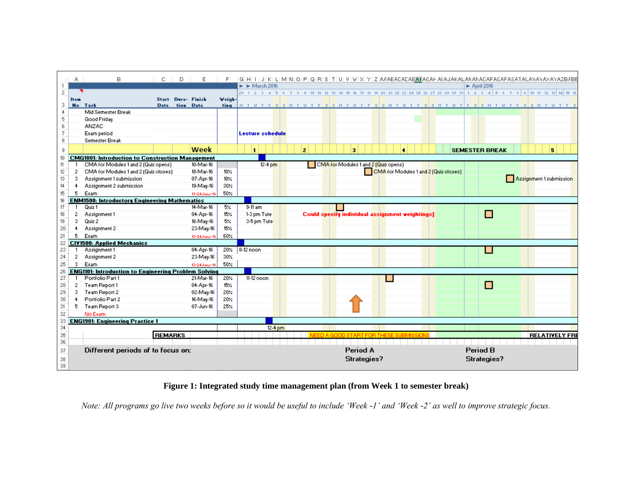|            | A.             | B                                                           | C.             | D              | Ε                         | F           |                                                        |           |         |  |                |  |                                                 |  |  |    |  |  |                                       |                                  |   |  |  |    | G H I J K L M N O P Q B S T U V V X Y Z AAAEACADAEAAFAGAH AI AJAKALIANANACAFAGAFASA TAUANANAYA ZBABE                          |
|------------|----------------|-------------------------------------------------------------|----------------|----------------|---------------------------|-------------|--------------------------------------------------------|-----------|---------|--|----------------|--|-------------------------------------------------|--|--|----|--|--|---------------------------------------|----------------------------------|---|--|--|----|-------------------------------------------------------------------------------------------------------------------------------|
|            |                |                                                             |                |                |                           |             | $\blacktriangleright$ $\blacktriangleright$ March 2016 |           |         |  |                |  |                                                 |  |  |    |  |  |                                       | $\blacktriangleright$ April 2016 |   |  |  |    |                                                                                                                               |
| $\sqrt{2}$ |                |                                                             |                |                |                           |             |                                                        |           |         |  |                |  |                                                 |  |  |    |  |  |                                       |                                  |   |  |  |    | 29 1 2 3 4 5 6 7 8 9 10 11 12 13 14 15 16 17 18 19 20 21 22 23 24 25 26 27 28 29 30 31 1 2 3 4 5 6 7 8 9 10 11 12 13 14 15 16 |
|            | <b>Item</b>    |                                                             |                |                | <b>Start Dura- Finish</b> | Weigh-      |                                                        |           |         |  |                |  |                                                 |  |  |    |  |  |                                       |                                  |   |  |  |    |                                                                                                                               |
| 3          |                | <b>No</b> Task                                              |                | Date tion Date |                           | ting        |                                                        |           |         |  |                |  |                                                 |  |  |    |  |  |                                       |                                  |   |  |  |    | NTWTFSSMTWTFSSMTWTFSSMTWTFSSMTWTFSSMTWTFSSMTWTFS                                                                              |
| 4          |                | Mid Semester Break                                          |                |                |                           |             |                                                        |           |         |  |                |  |                                                 |  |  |    |  |  |                                       |                                  |   |  |  |    |                                                                                                                               |
| 5          |                | Good Friday                                                 |                |                |                           |             |                                                        |           |         |  |                |  |                                                 |  |  |    |  |  |                                       |                                  |   |  |  |    |                                                                                                                               |
| 6          |                | <b>ANZAC</b>                                                |                |                |                           |             |                                                        |           |         |  |                |  |                                                 |  |  |    |  |  |                                       |                                  |   |  |  |    |                                                                                                                               |
| 7          |                | Exam period                                                 |                |                |                           |             | <b>Lecture schedule</b>                                |           |         |  |                |  |                                                 |  |  |    |  |  |                                       |                                  |   |  |  |    |                                                                                                                               |
| 8          |                | <b>Semester Break</b>                                       |                |                |                           |             |                                                        |           |         |  |                |  |                                                 |  |  |    |  |  |                                       |                                  |   |  |  |    |                                                                                                                               |
| 9          |                |                                                             |                |                | Week                      |             | $\mathbf{1}$                                           |           |         |  | $\overline{2}$ |  | $\overline{\mathbf{3}}$                         |  |  | ă. |  |  |                                       | <b>SEMESTER BREAK</b>            |   |  |  | 5. |                                                                                                                               |
| 10         |                | <b>CMG1001: Introduction to Construction Management</b>     |                |                |                           |             |                                                        |           |         |  |                |  |                                                 |  |  |    |  |  |                                       |                                  |   |  |  |    |                                                                                                                               |
| 11         |                | CMA for Modules 1 and 2 (Quiz opens)                        |                |                | 10-Mar-16                 |             |                                                        | $12-4$ pm |         |  |                |  | CMA for Modules 1 and 2 (Quiz opens)            |  |  |    |  |  |                                       |                                  |   |  |  |    |                                                                                                                               |
| 12         | 2              | CMA for Modules 1 and 2 (Quiz closes)                       |                |                | 18-Mar-16                 | 10%         |                                                        |           |         |  |                |  |                                                 |  |  |    |  |  | CMA for Modules 1 and 2 (Quiz closes) |                                  |   |  |  |    |                                                                                                                               |
| 13         | 3              | Assignment1 submission                                      |                |                | 07-Apr-16                 | $10\times$  |                                                        |           |         |  |                |  |                                                 |  |  |    |  |  |                                       |                                  |   |  |  |    | Assignment 1 submission                                                                                                       |
| 14         | 4              | Assignment 2 submission                                     |                |                | 19-May-16                 | 30%         |                                                        |           |         |  |                |  |                                                 |  |  |    |  |  |                                       |                                  |   |  |  |    |                                                                                                                               |
| 15         | 5.             | Exam                                                        |                |                | 13-24 June-16             | 50%         |                                                        |           |         |  |                |  |                                                 |  |  |    |  |  |                                       |                                  |   |  |  |    |                                                                                                                               |
| 16         |                | <b>ENM1500: Introductory Engineering Mathematics</b>        |                |                |                           |             |                                                        |           |         |  |                |  |                                                 |  |  |    |  |  |                                       |                                  |   |  |  |    |                                                                                                                               |
| 17         | $\mathbf{1}$   | Quiz 1                                                      |                |                | 14-Mar-16                 | 5%.         | 9-11 am                                                |           |         |  |                |  |                                                 |  |  |    |  |  |                                       |                                  |   |  |  |    |                                                                                                                               |
| 18         | $\mathbf{2}^-$ | Assignment1                                                 |                |                | 04-Apr-16                 | $15\times$  | 1-3 pm Tute                                            |           |         |  |                |  | Could specify individual assignment weightings] |  |  |    |  |  |                                       |                                  | П |  |  |    |                                                                                                                               |
| 19         | 3.             | Quiz 2                                                      |                |                | 16-May-16                 | 5%          | 3-5 pm Tute                                            |           |         |  |                |  |                                                 |  |  |    |  |  |                                       |                                  |   |  |  |    |                                                                                                                               |
| 20         | 4              | Assignment 2                                                |                |                | 23-May-16                 | $15 \times$ |                                                        |           |         |  |                |  |                                                 |  |  |    |  |  |                                       |                                  |   |  |  |    |                                                                                                                               |
| 21         | 5.             | Exam                                                        |                |                | 13-24 June-16             | $60\%$      |                                                        |           |         |  |                |  |                                                 |  |  |    |  |  |                                       |                                  |   |  |  |    |                                                                                                                               |
| 22         |                | <b>CIV1500: Applied Mechanics</b>                           |                |                |                           |             |                                                        |           |         |  |                |  |                                                 |  |  |    |  |  |                                       |                                  |   |  |  |    |                                                                                                                               |
| 23         |                | Assignment1                                                 |                |                | 04-Apr-16                 | 20%         | $8-12$ noon                                            |           |         |  |                |  |                                                 |  |  |    |  |  |                                       |                                  |   |  |  |    |                                                                                                                               |
| 24         | 2              | Assignment 2                                                |                |                | 23-May-16                 | 30%         |                                                        |           |         |  |                |  |                                                 |  |  |    |  |  |                                       |                                  |   |  |  |    |                                                                                                                               |
| 25         | 3 <sup>1</sup> | Exam                                                        |                |                | 13-24 June-16             | $50\times$  |                                                        |           |         |  |                |  |                                                 |  |  |    |  |  |                                       |                                  |   |  |  |    |                                                                                                                               |
| 26         |                | <b>ENG1101: Introduction to Engineering Problem Solving</b> |                |                |                           |             |                                                        |           |         |  |                |  |                                                 |  |  |    |  |  |                                       |                                  |   |  |  |    |                                                                                                                               |
| 27         | -1             | Portfolio Part 1                                            |                |                | 21-Mar-16                 | 20%         | 11-12 noon                                             |           |         |  |                |  |                                                 |  |  |    |  |  |                                       |                                  |   |  |  |    |                                                                                                                               |
| 28         | $2 -$          | Team Report 1                                               |                |                | 04-Apr-16                 | $15\times$  |                                                        |           |         |  |                |  |                                                 |  |  |    |  |  |                                       |                                  | П |  |  |    |                                                                                                                               |
| 29         | 3              | Team Report 2                                               |                |                | 02-May-16                 | 20%         |                                                        |           |         |  |                |  |                                                 |  |  |    |  |  |                                       |                                  |   |  |  |    |                                                                                                                               |
| 30         | 4.             | Portfolio Part 2                                            |                |                | 16-May-16                 | 20%         |                                                        |           |         |  |                |  |                                                 |  |  |    |  |  |                                       |                                  |   |  |  |    |                                                                                                                               |
| 31         |                | 5 Team Report 3                                             |                |                | 07-Jun-16                 | 25%         |                                                        |           |         |  |                |  |                                                 |  |  |    |  |  |                                       |                                  |   |  |  |    |                                                                                                                               |
| 32         |                | No Exam                                                     |                |                |                           |             |                                                        |           |         |  |                |  |                                                 |  |  |    |  |  |                                       |                                  |   |  |  |    |                                                                                                                               |
| 33         |                | <b>ENG1901: Engineering Practice 1</b>                      |                |                |                           |             |                                                        |           |         |  |                |  |                                                 |  |  |    |  |  |                                       |                                  |   |  |  |    |                                                                                                                               |
| 34         |                |                                                             |                |                |                           |             |                                                        |           | 12-4 pm |  |                |  |                                                 |  |  |    |  |  |                                       |                                  |   |  |  |    |                                                                                                                               |
| 35<br>36   |                |                                                             | <b>REMARKS</b> |                |                           |             |                                                        |           |         |  |                |  | IED A GOOD START EOR THESE                      |  |  |    |  |  |                                       |                                  |   |  |  |    | <b>RELATIVELY FRE</b>                                                                                                         |
|            |                |                                                             |                |                |                           |             |                                                        |           |         |  |                |  |                                                 |  |  |    |  |  |                                       |                                  |   |  |  |    |                                                                                                                               |
| 37         |                | Different periods of to focus on:                           |                |                |                           |             |                                                        |           |         |  |                |  | Period A                                        |  |  |    |  |  |                                       | <b>Period B</b>                  |   |  |  |    |                                                                                                                               |
| 38         |                |                                                             |                |                |                           |             |                                                        |           |         |  |                |  | Strategies?                                     |  |  |    |  |  |                                       | Strategies?                      |   |  |  |    |                                                                                                                               |
| 39         |                |                                                             |                |                |                           |             |                                                        |           |         |  |                |  |                                                 |  |  |    |  |  |                                       |                                  |   |  |  |    |                                                                                                                               |

## **Figure 1: Integrated study time management plan (from Week 1 to semester break)**

*Note: All programs go live two weeks before so it would be useful to include 'Week -1' and 'Week -2' as well to improve strategic focus.*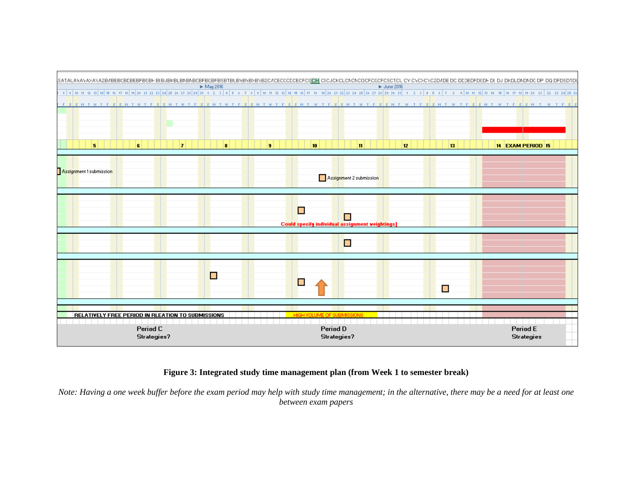

#### **Figure 3: Integrated study time management plan (from Week 1 to semester break)**

*Note: Having a one week buffer before the exam period may help with study time management; in the alternative, there may be a need for at least one between exam papers*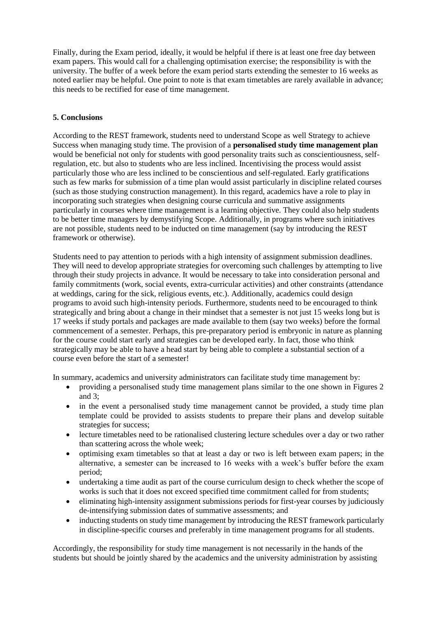Finally, during the Exam period, ideally, it would be helpful if there is at least one free day between exam papers. This would call for a challenging optimisation exercise; the responsibility is with the university. The buffer of a week before the exam period starts extending the semester to 16 weeks as noted earlier may be helpful. One point to note is that exam timetables are rarely available in advance; this needs to be rectified for ease of time management.

## **5. Conclusions**

According to the REST framework, students need to understand Scope as well Strategy to achieve Success when managing study time. The provision of a **personalised study time management plan** would be beneficial not only for students with good personality traits such as conscientiousness, selfregulation, etc. but also to students who are less inclined. Incentivising the process would assist particularly those who are less inclined to be conscientious and self-regulated. Early gratifications such as few marks for submission of a time plan would assist particularly in discipline related courses (such as those studying construction management). In this regard, academics have a role to play in incorporating such strategies when designing course curricula and summative assignments particularly in courses where time management is a learning objective. They could also help students to be better time managers by demystifying Scope. Additionally, in programs where such initiatives are not possible, students need to be inducted on time management (say by introducing the REST framework or otherwise).

Students need to pay attention to periods with a high intensity of assignment submission deadlines. They will need to develop appropriate strategies for overcoming such challenges by attempting to live through their study projects in advance. It would be necessary to take into consideration personal and family commitments (work, social events, extra-curricular activities) and other constraints (attendance at weddings, caring for the sick, religious events, etc.). Additionally, academics could design programs to avoid such high-intensity periods. Furthermore, students need to be encouraged to think strategically and bring about a change in their mindset that a semester is not just 15 weeks long but is 17 weeks if study portals and packages are made available to them (say two weeks) before the formal commencement of a semester. Perhaps, this pre-preparatory period is embryonic in nature as planning for the course could start early and strategies can be developed early. In fact, those who think strategically may be able to have a head start by being able to complete a substantial section of a course even before the start of a semester!

In summary, academics and university administrators can facilitate study time management by:

- providing a personalised study time management plans similar to the one shown in Figures 2 and 3;
- in the event a personalised study time management cannot be provided, a study time plan template could be provided to assists students to prepare their plans and develop suitable strategies for success;
- lecture timetables need to be rationalised clustering lecture schedules over a day or two rather than scattering across the whole week;
- optimising exam timetables so that at least a day or two is left between exam papers; in the alternative, a semester can be increased to 16 weeks with a week's buffer before the exam period;
- undertaking a time audit as part of the course curriculum design to check whether the scope of works is such that it does not exceed specified time commitment called for from students;
- eliminating high-intensity assignment submissions periods for first-year courses by judiciously de-intensifying submission dates of summative assessments; and
- inducting students on study time management by introducing the REST framework particularly in discipline-specific courses and preferably in time management programs for all students.

Accordingly, the responsibility for study time management is not necessarily in the hands of the students but should be jointly shared by the academics and the university administration by assisting